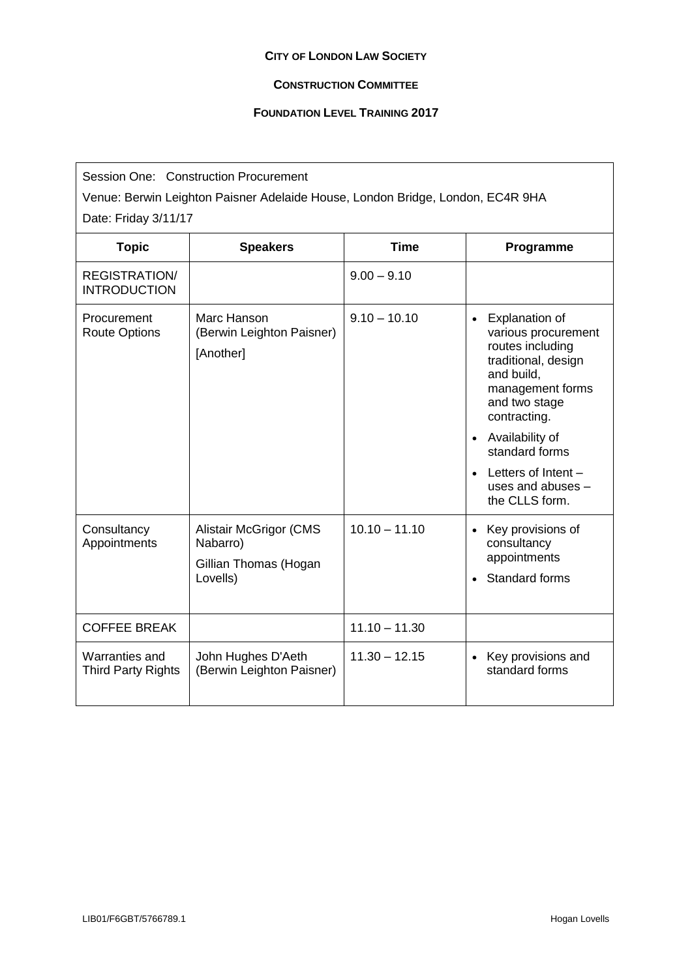## **CITY OF LONDON LAW SOCIETY**

## **CONSTRUCTION COMMITTEE**

## **FOUNDATION LEVEL TRAINING 2017**

| Session One: Construction Procurement<br>Venue: Berwin Leighton Paisner Adelaide House, London Bridge, London, EC4R 9HA |                                                                                |                 |                                                                                                                                                                                                                                                                                              |  |  |  |
|-------------------------------------------------------------------------------------------------------------------------|--------------------------------------------------------------------------------|-----------------|----------------------------------------------------------------------------------------------------------------------------------------------------------------------------------------------------------------------------------------------------------------------------------------------|--|--|--|
| Date: Friday 3/11/17                                                                                                    |                                                                                |                 |                                                                                                                                                                                                                                                                                              |  |  |  |
| <b>Topic</b>                                                                                                            | <b>Speakers</b>                                                                | <b>Time</b>     | Programme                                                                                                                                                                                                                                                                                    |  |  |  |
| <b>REGISTRATION/</b><br><b>INTRODUCTION</b>                                                                             |                                                                                | $9.00 - 9.10$   |                                                                                                                                                                                                                                                                                              |  |  |  |
| Procurement<br><b>Route Options</b>                                                                                     | Marc Hanson<br>(Berwin Leighton Paisner)<br>[Another]                          | $9.10 - 10.10$  | Explanation of<br>$\bullet$<br>various procurement<br>routes including<br>traditional, design<br>and build,<br>management forms<br>and two stage<br>contracting.<br>Availability of<br>$\bullet$<br>standard forms<br>$\bullet$ Letters of Intent $-$<br>uses and abuses -<br>the CLLS form. |  |  |  |
| Consultancy<br>Appointments                                                                                             | <b>Alistair McGrigor (CMS</b><br>Nabarro)<br>Gillian Thomas (Hogan<br>Lovells) | $10.10 - 11.10$ | • Key provisions of<br>consultancy<br>appointments<br><b>Standard forms</b><br>$\bullet$                                                                                                                                                                                                     |  |  |  |
| <b>COFFEE BREAK</b>                                                                                                     |                                                                                | $11.10 - 11.30$ |                                                                                                                                                                                                                                                                                              |  |  |  |
| Warranties and<br><b>Third Party Rights</b>                                                                             | John Hughes D'Aeth<br>(Berwin Leighton Paisner)                                | $11.30 - 12.15$ | • Key provisions and<br>standard forms                                                                                                                                                                                                                                                       |  |  |  |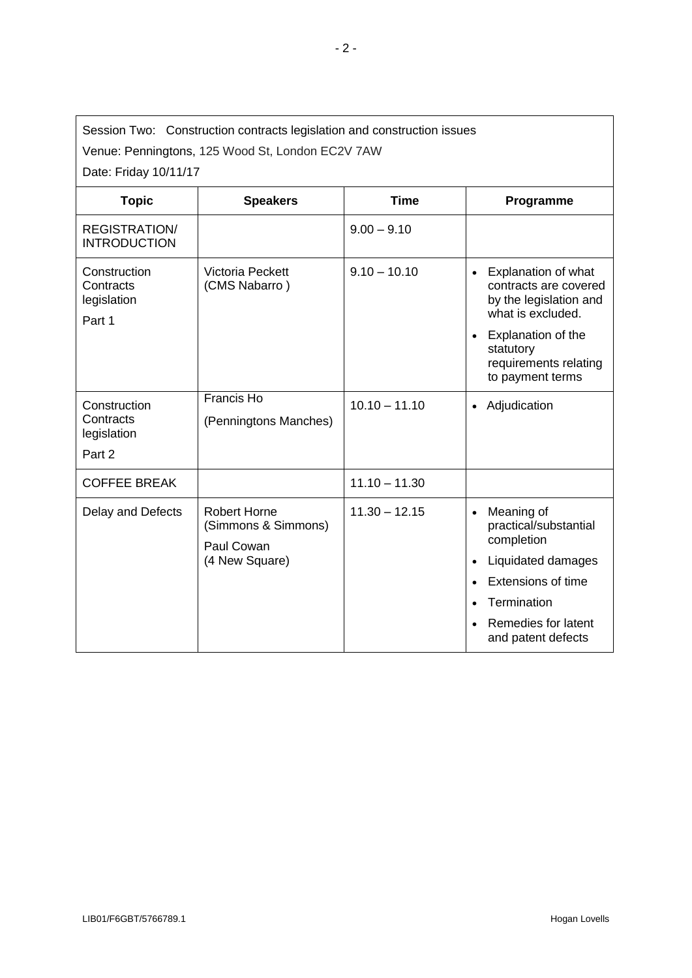| Session Two: Construction contracts legislation and construction issues |
|-------------------------------------------------------------------------|

Venue: Penningtons, 125 Wood St, London EC2V 7AW

Date: Friday 10/11/17

| <b>Topic</b>                                       | <b>Speakers</b>                                                            | <b>Time</b>     | Programme                                                                                                                                   |
|----------------------------------------------------|----------------------------------------------------------------------------|-----------------|---------------------------------------------------------------------------------------------------------------------------------------------|
| <b>REGISTRATION/</b><br><b>INTRODUCTION</b>        |                                                                            | $9.00 - 9.10$   |                                                                                                                                             |
| Construction<br>Contracts<br>legislation<br>Part 1 | <b>Victoria Peckett</b><br>(CMS Nabarro)                                   | $9.10 - 10.10$  | Explanation of what<br>$\bullet$<br>contracts are covered<br>by the legislation and<br>what is excluded.<br>Explanation of the<br>$\bullet$ |
|                                                    |                                                                            |                 | statutory<br>requirements relating<br>to payment terms                                                                                      |
| Construction<br>Contracts<br>legislation<br>Part 2 | Francis Ho<br>(Penningtons Manches)                                        | $10.10 - 11.10$ | Adjudication<br>$\bullet$                                                                                                                   |
| <b>COFFEE BREAK</b>                                |                                                                            | $11.10 - 11.30$ |                                                                                                                                             |
| Delay and Defects                                  | <b>Robert Horne</b><br>(Simmons & Simmons)<br>Paul Cowan<br>(4 New Square) | $11.30 - 12.15$ | Meaning of<br>$\bullet$<br>practical/substantial<br>completion                                                                              |
|                                                    |                                                                            |                 | Liquidated damages                                                                                                                          |
|                                                    |                                                                            |                 | <b>Extensions of time</b>                                                                                                                   |
|                                                    |                                                                            |                 | Termination                                                                                                                                 |
|                                                    |                                                                            |                 | Remedies for latent<br>and patent defects                                                                                                   |